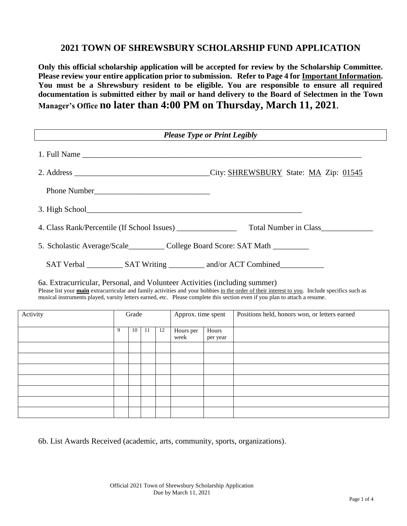## **2021 TOWN OF SHREWSBURY SCHOLARSHIP FUND APPLICATION**

**Only this official scholarship application will be accepted for review by the Scholarship Committee. Please review your entire application prior to submission. Refer to Page 4 for Important Information. You must be a Shrewsbury resident to be eligible. You are responsible to ensure all required documentation is submitted either by mail or hand delivery to the Board of Selectmen in the Town Manager's Office no later than 4:00 PM on Thursday, March 11, 2021.**

|                                                                                |              |       |    |    | <b>Please Type or Print Legibly</b> |                   |                                                                                                                                                                                                                                                                             |
|--------------------------------------------------------------------------------|--------------|-------|----|----|-------------------------------------|-------------------|-----------------------------------------------------------------------------------------------------------------------------------------------------------------------------------------------------------------------------------------------------------------------------|
|                                                                                |              |       |    |    |                                     |                   |                                                                                                                                                                                                                                                                             |
|                                                                                |              |       |    |    |                                     |                   |                                                                                                                                                                                                                                                                             |
|                                                                                |              |       |    |    |                                     |                   |                                                                                                                                                                                                                                                                             |
|                                                                                |              |       |    |    |                                     |                   |                                                                                                                                                                                                                                                                             |
|                                                                                |              |       |    |    |                                     |                   | Total Number in Class                                                                                                                                                                                                                                                       |
| 5. Scholastic Average/Scale___________ College Board Score: SAT Math _________ |              |       |    |    |                                     |                   |                                                                                                                                                                                                                                                                             |
|                                                                                |              |       |    |    |                                     |                   |                                                                                                                                                                                                                                                                             |
|                                                                                |              |       |    |    |                                     |                   | SAT Verbal _____________ SAT Writing ___________ and/or ACT Combined____________                                                                                                                                                                                            |
| 6a. Extracurricular, Personal, and Volunteer Activities (including summer)     |              |       |    |    |                                     |                   | Please list your main extracurricular and family activities and your hobbies in the order of their interest to you. Include specifics such as<br>musical instruments played, varsity letters earned, etc. Please complete this section even if you plan to attach a resume. |
| Activity                                                                       |              | Grade |    |    | Approx. time spent                  |                   | Positions held, honors won, or letters earned                                                                                                                                                                                                                               |
|                                                                                | $\mathbf{Q}$ | 10    | 11 | 12 | Hours per<br>week                   | Hours<br>per year |                                                                                                                                                                                                                                                                             |
|                                                                                |              |       |    |    |                                     |                   |                                                                                                                                                                                                                                                                             |
|                                                                                |              |       |    |    |                                     |                   |                                                                                                                                                                                                                                                                             |
|                                                                                |              |       |    |    |                                     |                   |                                                                                                                                                                                                                                                                             |
|                                                                                |              |       |    |    |                                     |                   |                                                                                                                                                                                                                                                                             |

6b. List Awards Received (academic, arts, community, sports, organizations).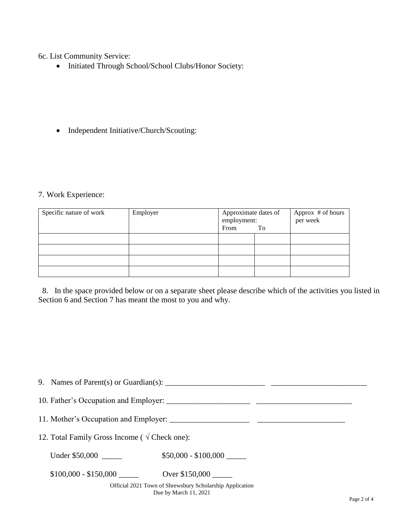6c. List Community Service:

• Initiated Through School/School Clubs/Honor Society:

• Independent Initiative/Church/Scouting:

## 7. Work Experience:

| Specific nature of work | Employer | Approximate dates of<br>employment:<br>From | To | Approx # of hours<br>per week |
|-------------------------|----------|---------------------------------------------|----|-------------------------------|
|                         |          |                                             |    |                               |
|                         |          |                                             |    |                               |
|                         |          |                                             |    |                               |
|                         |          |                                             |    |                               |

 8. In the space provided below or on a separate sheet please describe which of the activities you listed in Section 6 and Section 7 has meant the most to you and why.

|                                                        | 9. Names of Parent(s) or Guardian(s): $\frac{1}{2}$ $\frac{1}{2}$ $\frac{1}{2}$ $\frac{1}{2}$ $\frac{1}{2}$ $\frac{1}{2}$ $\frac{1}{2}$ $\frac{1}{2}$ $\frac{1}{2}$ $\frac{1}{2}$ $\frac{1}{2}$ $\frac{1}{2}$ $\frac{1}{2}$ $\frac{1}{2}$ $\frac{1}{2}$ $\frac{1}{2}$ $\frac{1}{2}$ $\frac{1}{2}$ $\frac$ |  |
|--------------------------------------------------------|-----------------------------------------------------------------------------------------------------------------------------------------------------------------------------------------------------------------------------------------------------------------------------------------------------------|--|
|                                                        |                                                                                                                                                                                                                                                                                                           |  |
|                                                        |                                                                                                                                                                                                                                                                                                           |  |
| 12. Total Family Gross Income ( $\sqrt{C}$ Check one): |                                                                                                                                                                                                                                                                                                           |  |
| Under \$50,000                                         | $$50,000 - $100,000$                                                                                                                                                                                                                                                                                      |  |
| $$100,000 - $150,000$                                  | Over \$150,000                                                                                                                                                                                                                                                                                            |  |
|                                                        | Official 2021 Town of Shrewsbury Scholarship Application<br>Due by March 11, 2021                                                                                                                                                                                                                         |  |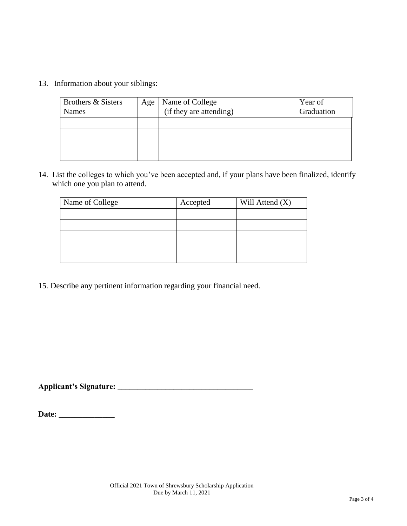13. Information about your siblings:

| Brothers & Sisters<br><b>Names</b> | Age | Name of College<br>(if they are attending) | Year of<br>Graduation |
|------------------------------------|-----|--------------------------------------------|-----------------------|
|                                    |     |                                            |                       |
|                                    |     |                                            |                       |
|                                    |     |                                            |                       |
|                                    |     |                                            |                       |

14. List the colleges to which you've been accepted and, if your plans have been finalized, identify which one you plan to attend.

| Name of College | Accepted | Will Attend $(X)$ |
|-----------------|----------|-------------------|
|                 |          |                   |
|                 |          |                   |
|                 |          |                   |
|                 |          |                   |
|                 |          |                   |

15. Describe any pertinent information regarding your financial need.

**Applicant's Signature:** \_\_\_\_\_\_\_\_\_\_\_\_\_\_\_\_\_\_\_\_\_\_\_\_\_\_\_\_\_\_\_\_\_\_

**Date:** \_\_\_\_\_\_\_\_\_\_\_\_\_\_